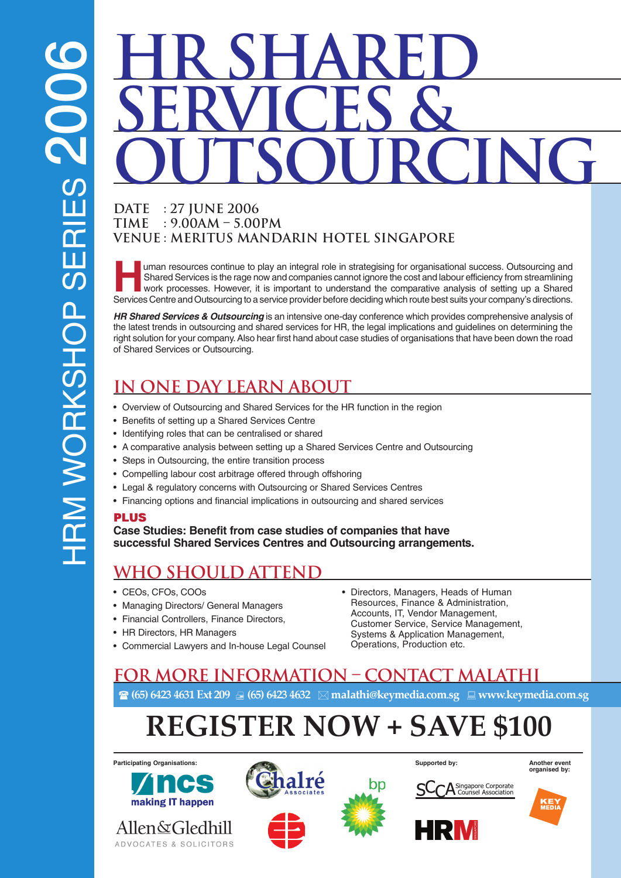# **HR SHARED Services & Outsourcing**

#### **Date : 27 June 2006 Time : 9.00am – 5.00pm Venue : Meritus Mandarin Hotel Singapore**

uman resources continue to play an integral role in strategising for organisational success. Outsourcing and Shared Services is the rage now and companies cannot ignore the cost and labour efficiency from streamlining work processes. However, it is important to understand the comparative analysis of setting up a Shared Services Centre and Outsourcing to a service provider before deciding which route best suits your company's directions.

**HR Shared Services & Outsourcing** is an intensive one-day conference which provides comprehensive analysis of the latest trends in outsourcing and shared services for HR, the legal implications and guidelines on determining the right solution for your company. Also hear first hand about case studies of organisations that have been down the road of Shared Services or Outsourcing.

## **IN ONE DAY LEARN ABOUT**

- Overview of Outsourcing and Shared Services for the HR function in the region
- Benefits of setting up a Shared Services Centre
- Identifying roles that can be centralised or shared
- A comparative analysis between setting up a Shared Services Centre and Outsourcing
- Steps in Outsourcing, the entire transition process
- Compelling labour cost arbitrage offered through offshoring
- Legal & regulatory concerns with Outsourcing or Shared Services Centres
- Financing options and financial implications in outsourcing and shared services

#### PLUS

**Case Studies: Benefit from case studies of companies that have successful Shared Services Centres and Outsourcing arrangements.**

## **WHO SHOULD ATTEND**

- CEOs, CFOs, COOs
- Managing Directors/ General Managers
- Financial Controllers, Finance Directors,
- HR Directors, HR Managers
- Commercial Lawyers and In-house Legal Counsel
- Directors, Managers, Heads of Human Resources, Finance & Administration, Accounts, IT, Vendor Management, Customer Service, Service Management, Systems & Application Management, Operations, Production etc.

### **For more information – Contact Malathi** - (65) 6423 4631 Ext 209 - (65) 6423 4632 malathi@keymedia.com.sg www.keymedia.com.sg

## REGISTER NOW + SAVE \$100